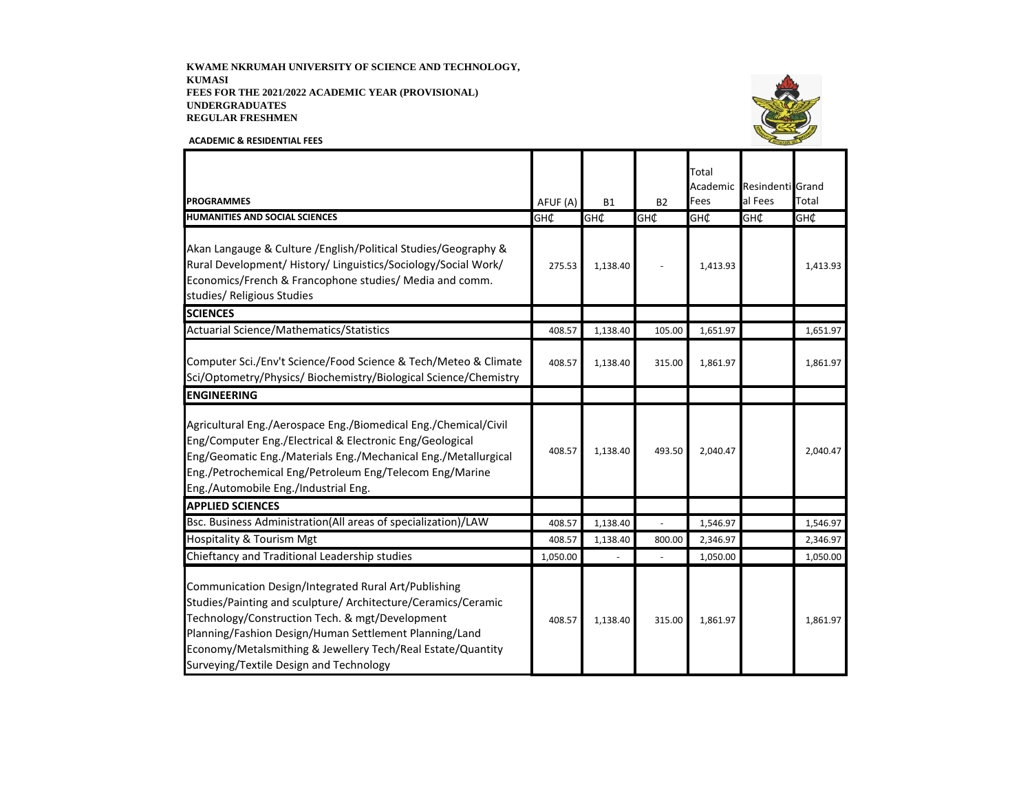KWAME NKRUMAH UNIVERSITY OF SCIENCE AND TECHNOLOGY, **KUMASI** FEES FOR THE 2021/2022 ACADEMIC YEAR (PROVISIONAL) **UNDERGRADUATES REGULAR FRESHMEN** 

**ACADEMIC & RESIDENTIAL FEES** 



Total Academic Resindenti Grand al Fees Total **PROGRAMMES** AFUF (A) **B1**  $B<sub>2</sub>$ Fees **HUMANITIES AND SOCIAL SCIENCES** GH¢ ЭH¢ GH¢ GH¢ GH¢ GH¢ Akan Langauge & Culture / English/Political Studies/Geography & Rural Development/ History/ Linguistics/Sociology/Social Work/ 275.53 1,138.40  $\overline{a}$ 1,413.93 1,413.93 Economics/French & Francophone studies/ Media and comm. studies/ Religious Studies **SCIENCES** Actuarial Science/Mathematics/Statistics 408.57 1,138.40 105.00 1,651.97 1,651.97 Computer Sci./Env't Science/Food Science & Tech/Meteo & Climate 408.57 1,138.40 315.00 1,861.97 1,861.97 Sci/Optometry/Physics/ Biochemistry/Biological Science/Chemistry **ENGINEERING** Agricultural Eng./Aerospace Eng./Biomedical Eng./Chemical/Civil Eng/Computer Eng./Electrical & Electronic Eng/Geological 408.57 1,138.40 493.50 2,040.47 2,040.47 Eng/Geomatic Eng./Materials Eng./Mechanical Eng./Metallurgical Eng./Petrochemical Eng/Petroleum Eng/Telecom Eng/Marine Eng./Automobile Eng./Industrial Eng. **APPLIED SCIENCES** Bsc. Business Administration(All areas of specialization)/LAW 408.57 1,138.40 1,546.97 1,546.97 **Hospitality & Tourism Mgt** 800.00 2,346.97 408.57 1,138.40 2,346.97 Chieftancy and Traditional Leadership studies 1,050.00 1,050.00 1,050.00  $\overline{\phantom{a}}$ Communication Design/Integrated Rural Art/Publishing Studies/Painting and sculpture/ Architecture/Ceramics/Ceramic Technology/Construction Tech. & mgt/Development 408.57 1,138.40 315.00 1,861.97 1,861.97 Planning/Fashion Design/Human Settlement Planning/Land Economy/Metalsmithing & Jewellery Tech/Real Estate/Quantity Surveying/Textile Design and Technology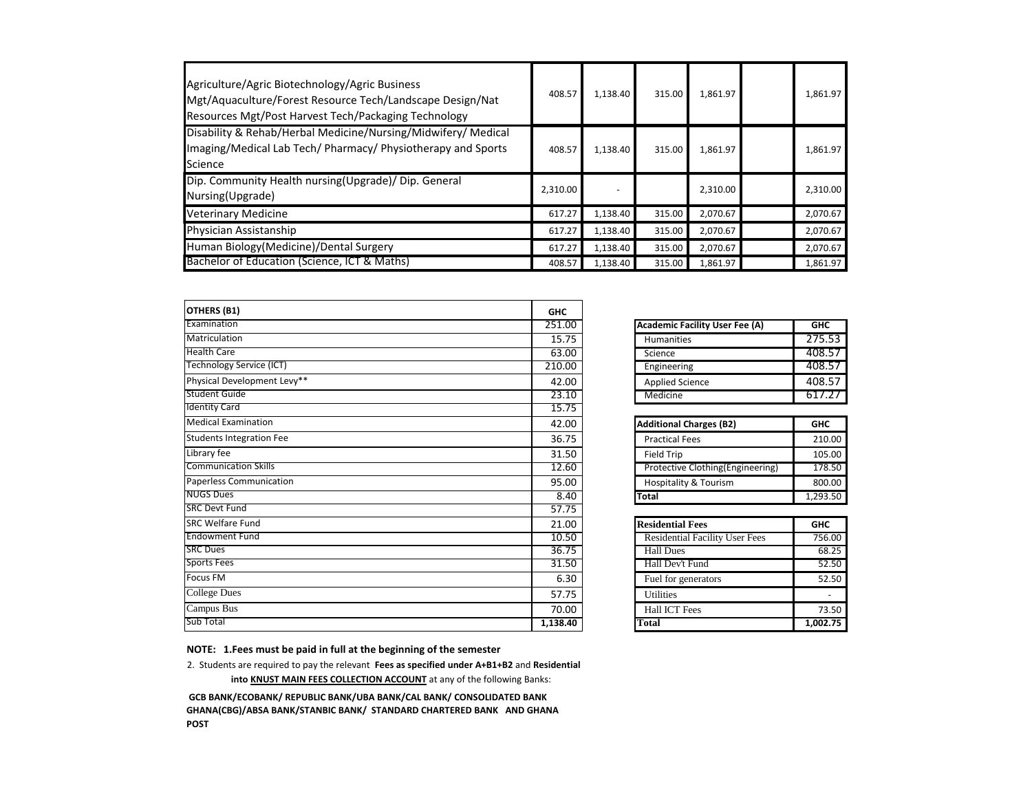| Agriculture/Agric Biotechnology/Agric Business<br>Mgt/Aquaculture/Forest Resource Tech/Landscape Design/Nat<br>Resources Mgt/Post Harvest Tech/Packaging Technology | 408.57   | 1,138.40 | 315.00 | 1,861.97 | 1,861.97 |
|---------------------------------------------------------------------------------------------------------------------------------------------------------------------|----------|----------|--------|----------|----------|
| Disability & Rehab/Herbal Medicine/Nursing/Midwifery/ Medical<br>Imaging/Medical Lab Tech/ Pharmacy/ Physiotherapy and Sports<br>Science                            | 408.57   | 1,138.40 | 315.00 | 1,861.97 | 1,861.97 |
| Dip. Community Health nursing(Upgrade)/ Dip. General<br>Nursing(Upgrade)                                                                                            | 2,310.00 |          |        | 2,310.00 | 2,310.00 |
| <b>Veterinary Medicine</b>                                                                                                                                          | 617.27   | 1,138.40 | 315.00 | 2,070.67 | 2,070.67 |
| Physician Assistanship                                                                                                                                              | 617.27   | 1,138.40 | 315.00 | 2,070.67 | 2,070.67 |
| Human Biology (Medicine) / Dental Surgery                                                                                                                           | 617.27   | 1,138.40 | 315.00 | 2,070.67 | 2,070.67 |
| Bachelor of Education (Science, ICT & Maths)                                                                                                                        | 408.57   | 1,138.40 | 315.00 | 1,861.97 | 1,861.97 |

| <b>OTHERS (B1)</b>              | <b>GHC</b> |                                          |            |
|---------------------------------|------------|------------------------------------------|------------|
| Examination                     | 251.00     | <b>Academic Facility User Fee (A)</b>    | GHC        |
| Matriculation                   | 15.75      | Humanities                               | 275.53     |
| <b>Health Care</b>              | 63.00      | Science                                  | 408.57     |
| <b>Technology Service (ICT)</b> | 210.00     | Engineering                              | 408.57     |
| Physical Development Levy**     | 42.00      | <b>Applied Science</b>                   | 408.57     |
| Student Guide                   | 23.10      | Medicine                                 | 617.27     |
| <b>Identity Card</b>            | 15.75      |                                          |            |
| <b>Medical Examination</b>      | 42.00      | <b>Additional Charges (B2)</b>           | <b>GHC</b> |
| <b>Students Integration Fee</b> | 36.75      | <b>Practical Fees</b>                    | 210.00     |
| Library fee                     | 31.50      | <b>Field Trip</b>                        | 105.00     |
| <b>Communication Skills</b>     | 12.60      | <b>Protective Clothing (Engineering)</b> | 178.50     |
| <b>Paperless Communication</b>  | 95.00      | <b>Hospitality &amp; Tourism</b>         | 800.00     |
| <b>NUGS Dues</b>                | 8.40       | <b>Total</b>                             | 1,293.50   |
| <b>SRC Devt Fund</b>            | 57.75      |                                          |            |
| <b>SRC Welfare Fund</b>         | 21.00      | <b>Residential Fees</b>                  | <b>GHC</b> |
| <b>Endowment Fund</b>           | 10.50      | <b>Residential Facility User Fees</b>    | 756.00     |
| <b>SRC Dues</b>                 | 36.75      | <b>Hall Dues</b>                         | 68.25      |
| <b>Sports Fees</b>              | 31.50      | Hall Dev't Fund                          | 52.50      |
| <b>Focus FM</b>                 | 6.30       | Fuel for generators                      | 52.50      |
| <b>College Dues</b>             | 57.75      | <b>Utilities</b>                         |            |
| Campus Bus                      | 70.00      | <b>Hall ICT Fees</b>                     | 73.50      |
| <b>Sub Total</b>                | 1,138.40   | <b>Total</b>                             | 1,002.75   |

| <b>Academic Facility User Fee (A)</b> | <b>GHC</b> |
|---------------------------------------|------------|
| <b>Humanities</b>                     | 275.53     |
| Science                               | 408.57     |
| Engineering                           | 408.57     |
| <b>Applied Science</b>                | 408.57     |
| Medicine                              | 617.27     |

| <b>Additional Charges (B2)</b>    | <b>GHC</b> |
|-----------------------------------|------------|
| <b>Practical Fees</b>             | 210.00     |
| <b>Field Trip</b>                 | 105.00     |
| Protective Clothing (Engineering) | 178.50     |
| Hospitality & Tourism             | 800.00     |
| <b>Total</b>                      | 1,293.50   |

| <b>Residential Fees</b>               | <b>GHC</b> |  |
|---------------------------------------|------------|--|
| <b>Residential Facility User Fees</b> | 756.00     |  |
| <b>Hall Dues</b>                      | 68.25      |  |
| Hall Dev't Fund                       | 52.50      |  |
| Fuel for generators                   | 52.50      |  |
| <b>Utilities</b>                      |            |  |
| <b>Hall ICT Fees</b>                  | 73.50      |  |
| Total                                 | 1,002.75   |  |

**NOTE: 1.Fees must be paid in full at the beginning of the semester**

2. Students are required to pay the relevant Fees as specified under A+B1+B2 and Residential

into **KNUST MAIN FEES COLLECTION ACCOUNT** at any of the following Banks:

 **GCB BANK/ECOBANK/ REPUBLIC BANK/UBA BANK/CAL BANK/ CONSOLIDATED BANK GHANA(CBG)/ABSA BANK/STANBIC BANK/ STANDARD CHARTERED BANK AND GHANA POST**